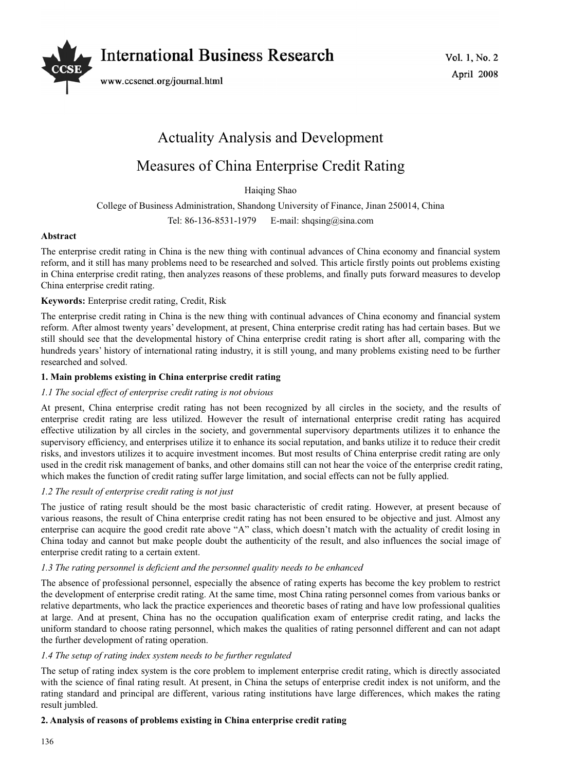

**International Business Research** 

www.ccsenet.org/journal.html

# Actuality Analysis and Development

# Measures of China Enterprise Credit Rating

Haiqing Shao

College of Business Administration, Shandong University of Finance, Jinan 250014, China

Tel: 86-136-8531-1979 E-mail: shqsing@sina.com

# **Abstract**

The enterprise credit rating in China is the new thing with continual advances of China economy and financial system reform, and it still has many problems need to be researched and solved. This article firstly points out problems existing in China enterprise credit rating, then analyzes reasons of these problems, and finally puts forward measures to develop China enterprise credit rating.

# **Keywords:** Enterprise credit rating, Credit, Risk

The enterprise credit rating in China is the new thing with continual advances of China economy and financial system reform. After almost twenty years' development, at present, China enterprise credit rating has had certain bases. But we still should see that the developmental history of China enterprise credit rating is short after all, comparing with the hundreds years' history of international rating industry, it is still young, and many problems existing need to be further researched and solved.

# **1. Main problems existing in China enterprise credit rating**

# *1.1 The social effect of enterprise credit rating is not obvious*

At present, China enterprise credit rating has not been recognized by all circles in the society, and the results of enterprise credit rating are less utilized. However the result of international enterprise credit rating has acquired effective utilization by all circles in the society, and governmental supervisory departments utilizes it to enhance the supervisory efficiency, and enterprises utilize it to enhance its social reputation, and banks utilize it to reduce their credit risks, and investors utilizes it to acquire investment incomes. But most results of China enterprise credit rating are only used in the credit risk management of banks, and other domains still can not hear the voice of the enterprise credit rating, which makes the function of credit rating suffer large limitation, and social effects can not be fully applied.

# *1.2 The result of enterprise credit rating is not just*

The justice of rating result should be the most basic characteristic of credit rating. However, at present because of various reasons, the result of China enterprise credit rating has not been ensured to be objective and just. Almost any enterprise can acquire the good credit rate above "A" class, which doesn't match with the actuality of credit losing in China today and cannot but make people doubt the authenticity of the result, and also influences the social image of enterprise credit rating to a certain extent.

# *1.3 The rating personnel is deficient and the personnel quality needs to be enhanced*

The absence of professional personnel, especially the absence of rating experts has become the key problem to restrict the development of enterprise credit rating. At the same time, most China rating personnel comes from various banks or relative departments, who lack the practice experiences and theoretic bases of rating and have low professional qualities at large. And at present, China has no the occupation qualification exam of enterprise credit rating, and lacks the uniform standard to choose rating personnel, which makes the qualities of rating personnel different and can not adapt the further development of rating operation.

# *1.4 The setup of rating index system needs to be further regulated*

The setup of rating index system is the core problem to implement enterprise credit rating, which is directly associated with the science of final rating result. At present, in China the setups of enterprise credit index is not uniform, and the rating standard and principal are different, various rating institutions have large differences, which makes the rating result jumbled.

# **2. Analysis of reasons of problems existing in China enterprise credit rating**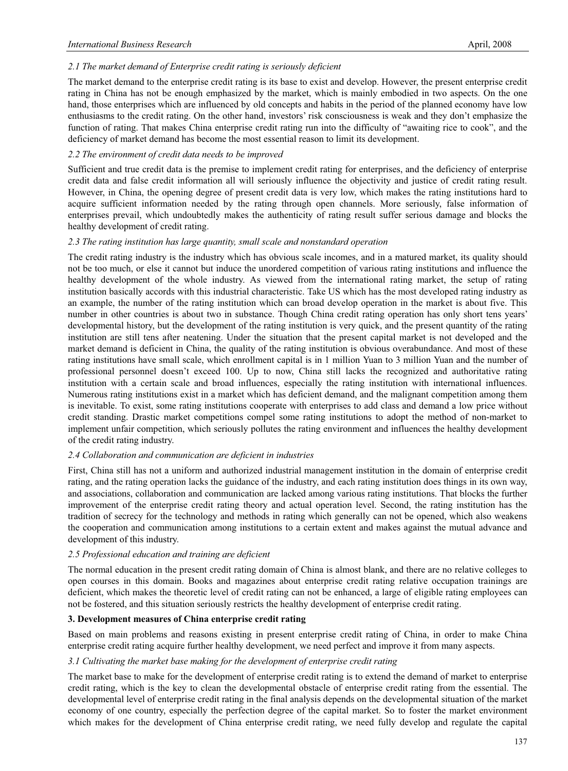## *2.1 The market demand of Enterprise credit rating is seriously deficient*

The market demand to the enterprise credit rating is its base to exist and develop. However, the present enterprise credit rating in China has not be enough emphasized by the market, which is mainly embodied in two aspects. On the one hand, those enterprises which are influenced by old concepts and habits in the period of the planned economy have low enthusiasms to the credit rating. On the other hand, investors' risk consciousness is weak and they don't emphasize the function of rating. That makes China enterprise credit rating run into the difficulty of "awaiting rice to cook", and the deficiency of market demand has become the most essential reason to limit its development.

## *2.2 The environment of credit data needs to be improved*

Sufficient and true credit data is the premise to implement credit rating for enterprises, and the deficiency of enterprise credit data and false credit information all will seriously influence the objectivity and justice of credit rating result. However, in China, the opening degree of present credit data is very low, which makes the rating institutions hard to acquire sufficient information needed by the rating through open channels. More seriously, false information of enterprises prevail, which undoubtedly makes the authenticity of rating result suffer serious damage and blocks the healthy development of credit rating.

#### *2.3 The rating institution has large quantity, small scale and nonstandard operation*

The credit rating industry is the industry which has obvious scale incomes, and in a matured market, its quality should not be too much, or else it cannot but induce the unordered competition of various rating institutions and influence the healthy development of the whole industry. As viewed from the international rating market, the setup of rating institution basically accords with this industrial characteristic. Take US which has the most developed rating industry as an example, the number of the rating institution which can broad develop operation in the market is about five. This number in other countries is about two in substance. Though China credit rating operation has only short tens years' developmental history, but the development of the rating institution is very quick, and the present quantity of the rating institution are still tens after neatening. Under the situation that the present capital market is not developed and the market demand is deficient in China, the quality of the rating institution is obvious overabundance. And most of these rating institutions have small scale, which enrollment capital is in 1 million Yuan to 3 million Yuan and the number of professional personnel doesn't exceed 100. Up to now, China still lacks the recognized and authoritative rating institution with a certain scale and broad influences, especially the rating institution with international influences. Numerous rating institutions exist in a market which has deficient demand, and the malignant competition among them is inevitable. To exist, some rating institutions cooperate with enterprises to add class and demand a low price without credit standing. Drastic market competitions compel some rating institutions to adopt the method of non-market to implement unfair competition, which seriously pollutes the rating environment and influences the healthy development of the credit rating industry.

#### *2.4 Collaboration and communication are deficient in industries*

First, China still has not a uniform and authorized industrial management institution in the domain of enterprise credit rating, and the rating operation lacks the guidance of the industry, and each rating institution does things in its own way, and associations, collaboration and communication are lacked among various rating institutions. That blocks the further improvement of the enterprise credit rating theory and actual operation level. Second, the rating institution has the tradition of secrecy for the technology and methods in rating which generally can not be opened, which also weakens the cooperation and communication among institutions to a certain extent and makes against the mutual advance and development of this industry.

# *2.5 Professional education and training are deficient*

The normal education in the present credit rating domain of China is almost blank, and there are no relative colleges to open courses in this domain. Books and magazines about enterprise credit rating relative occupation trainings are deficient, which makes the theoretic level of credit rating can not be enhanced, a large of eligible rating employees can not be fostered, and this situation seriously restricts the healthy development of enterprise credit rating.

#### **3. Development measures of China enterprise credit rating**

Based on main problems and reasons existing in present enterprise credit rating of China, in order to make China enterprise credit rating acquire further healthy development, we need perfect and improve it from many aspects.

# *3.1 Cultivating the market base making for the development of enterprise credit rating*

The market base to make for the development of enterprise credit rating is to extend the demand of market to enterprise credit rating, which is the key to clean the developmental obstacle of enterprise credit rating from the essential. The developmental level of enterprise credit rating in the final analysis depends on the developmental situation of the market economy of one country, especially the perfection degree of the capital market. So to foster the market environment which makes for the development of China enterprise credit rating, we need fully develop and regulate the capital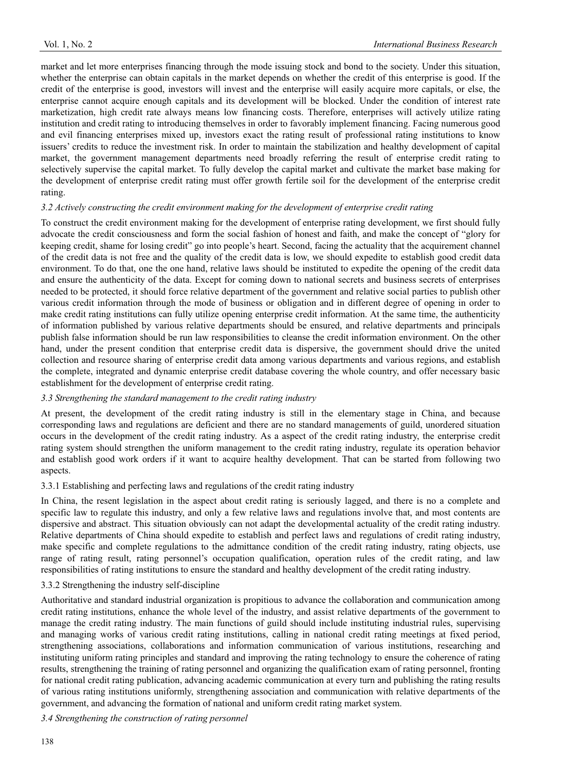market and let more enterprises financing through the mode issuing stock and bond to the society. Under this situation, whether the enterprise can obtain capitals in the market depends on whether the credit of this enterprise is good. If the credit of the enterprise is good, investors will invest and the enterprise will easily acquire more capitals, or else, the enterprise cannot acquire enough capitals and its development will be blocked. Under the condition of interest rate marketization, high credit rate always means low financing costs. Therefore, enterprises will actively utilize rating institution and credit rating to introducing themselves in order to favorably implement financing. Facing numerous good and evil financing enterprises mixed up, investors exact the rating result of professional rating institutions to know issuers' credits to reduce the investment risk. In order to maintain the stabilization and healthy development of capital market, the government management departments need broadly referring the result of enterprise credit rating to selectively supervise the capital market. To fully develop the capital market and cultivate the market base making for the development of enterprise credit rating must offer growth fertile soil for the development of the enterprise credit rating.

## *3.2 Actively constructing the credit environment making for the development of enterprise credit rating*

To construct the credit environment making for the development of enterprise rating development, we first should fully advocate the credit consciousness and form the social fashion of honest and faith, and make the concept of "glory for keeping credit, shame for losing credit" go into people's heart. Second, facing the actuality that the acquirement channel of the credit data is not free and the quality of the credit data is low, we should expedite to establish good credit data environment. To do that, one the one hand, relative laws should be instituted to expedite the opening of the credit data and ensure the authenticity of the data. Except for coming down to national secrets and business secrets of enterprises needed to be protected, it should force relative department of the government and relative social parties to publish other various credit information through the mode of business or obligation and in different degree of opening in order to make credit rating institutions can fully utilize opening enterprise credit information. At the same time, the authenticity of information published by various relative departments should be ensured, and relative departments and principals publish false information should be run law responsibilities to cleanse the credit information environment. On the other hand, under the present condition that enterprise credit data is dispersive, the government should drive the united collection and resource sharing of enterprise credit data among various departments and various regions, and establish the complete, integrated and dynamic enterprise credit database covering the whole country, and offer necessary basic establishment for the development of enterprise credit rating.

# *3.3 Strengthening the standard management to the credit rating industry*

At present, the development of the credit rating industry is still in the elementary stage in China, and because corresponding laws and regulations are deficient and there are no standard managements of guild, unordered situation occurs in the development of the credit rating industry. As a aspect of the credit rating industry, the enterprise credit rating system should strengthen the uniform management to the credit rating industry, regulate its operation behavior and establish good work orders if it want to acquire healthy development. That can be started from following two aspects.

#### 3.3.1 Establishing and perfecting laws and regulations of the credit rating industry

In China, the resent legislation in the aspect about credit rating is seriously lagged, and there is no a complete and specific law to regulate this industry, and only a few relative laws and regulations involve that, and most contents are dispersive and abstract. This situation obviously can not adapt the developmental actuality of the credit rating industry. Relative departments of China should expedite to establish and perfect laws and regulations of credit rating industry, make specific and complete regulations to the admittance condition of the credit rating industry, rating objects, use range of rating result, rating personnel's occupation qualification, operation rules of the credit rating, and law responsibilities of rating institutions to ensure the standard and healthy development of the credit rating industry.

#### 3.3.2 Strengthening the industry self-discipline

Authoritative and standard industrial organization is propitious to advance the collaboration and communication among credit rating institutions, enhance the whole level of the industry, and assist relative departments of the government to manage the credit rating industry. The main functions of guild should include instituting industrial rules, supervising and managing works of various credit rating institutions, calling in national credit rating meetings at fixed period, strengthening associations, collaborations and information communication of various institutions, researching and instituting uniform rating principles and standard and improving the rating technology to ensure the coherence of rating results, strengthening the training of rating personnel and organizing the qualification exam of rating personnel, fronting for national credit rating publication, advancing academic communication at every turn and publishing the rating results of various rating institutions uniformly, strengthening association and communication with relative departments of the government, and advancing the formation of national and uniform credit rating market system.

*3.4 Strengthening the construction of rating personnel*